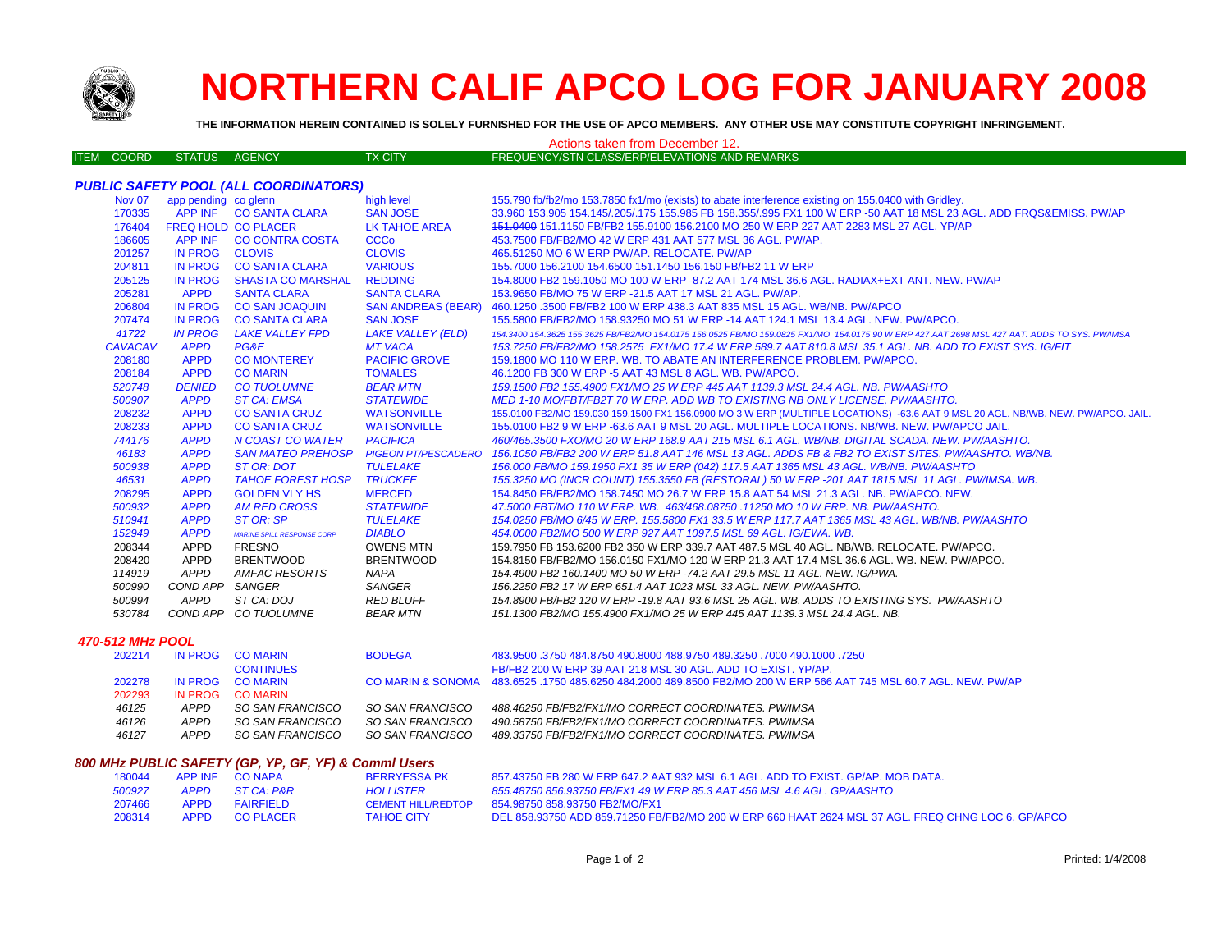

*PUBLIC SAFETY POOL (ALL COORDINATORS)*

# **NORTHERN CALIF APCO LOG FOR JANUARY 2008**

**THE INFORMATION HEREIN CONTAINED IS SOLELY FURNISHED FOR THE USE OF APCO MEMBERS. ANY OTHER USE MAY CONSTITUTE COPYRIGHT INFRINGEMENT.**

### Actions taken from December 12.

| ITEM COORD | 'STATUS AGENCY. | TX CITY. | FREQUENCY/STN CLASS/ERP/ELEVATIONS AND REMARKS |
|------------|-----------------|----------|------------------------------------------------|
|            |                 |          |                                                |

#### APP INF CO SANTA CLARA SAN JOSE 33.960 153.905 154.145/.205/.175 155.985 FB 158.355/.995 FX1 100 W ERP -50 AAT 18 MSL 23 AGL. ADD FRQS&EMISS. PW/AP 176404 FREQ HOLD CO PLACER LK TAHOE AREA 151.0400 151.1150 FB/FB2 155.9100 156.2100 MO 250 W ERP 227 AAT 2283 MSL 27 AGL. YP/AP APP INF CO CONTRA COSTA CCCo 453.7500 FB/FB2/MO 42 W ERP 431 AAT 577 MSL 36 AGL. PW/AP. IN PROG CLOVIS CLOVIS 465.51250 MO 6 W ERP PW/AP. RELOCATE. PW/AP IN PROG CO SANTA CLARA VARIOUS 155.7000 156.2100 154.6500 151.1450 156.150 FB/FB2 11 W ERP IN PROG SHASTA CO MARSHAL REDDING 154.8000 FB2 159.1050 MO 100 W ERP -87.2 AAT 174 MSL 36.6 AGL. RADIAX+EXT ANT. NEW. PW/AP APPD SANTA CLARA SANTA CLARA 153.9650 FB/MO 75 W ERP -21.5 AAT 17 MSL 21 AGL. PW/AP. IN PROG CO SAN JOAQUIN SAN ANDREAS (BEAR) 460.1250 .3500 FB/FB2 100 W ERP 438.3 AAT 835 MSL 15 AGL. WB/NB. PW/APCO IN PROG CO SANTA CLARA SAN JOSE 155.5800 FB/FB2/MO 158.93250 MO 51 W ERP -14 AAT 124.1 MSL 13.4 AGL. NEW. PW/APCO.41722 IN PROG LAKE VALLEY FPD LAKE VALLEY (ELD) 154.3400 154.3625 155.3625 FB/FB2/MO 154.0175 156.0525 FB/MO 159.0825 FX1/MO 154.0175 90 W FRP 427 AAT 2698 MSL 427 AAT. ADDS TO SYS. PW/MSA *CAVACAV APPD PG&E MT VACA 153.7250 FB/FB2/MO 158.2575 FX1/MO 17.4 W ERP 589.7 AAT 810.8 MSL 35.1 AGL. NB. ADD TO EXIST SYS. IG/FIT* APPD CO MONTEREY PACIFIC GROVE 159.1800 MO 110 W ERP. WB. TO ABATE AN INTERFERENCE PROBLEM. PW/APCO. APPD CO MARIN TOMALES 46.1200 FB 300 W ERP -5 AAT 43 MSL 8 AGL. WB. PW/APCO.  *DENIED CO TUOLUMNE BEAR MTN 159.1500 FB2 155.4900 FX1/MO 25 W ERP 445 AAT 1139.3 MSL 24.4 AGL. NB. PW/AASHTO APPD ST CA: EMSA STATEWIDE MED 1-10 MO/FBT/FB2T 70 W ERP. ADD WB TO EXISTING NB ONLY LICENSE. PW/AASHTO.* APPD CO SANTA CRUZ WATSONVILLE 155.0100 FB2/MO 159.030 159.1500 FX1 156.0900 MO 3 W ERP (MULTIPLE LOCATIONS) -63.6 AAT 9 MSL 20 AGL. NB/WB. NEW. PW/APCO. JAIL. APPD CO SANTA CRUZ WATSONVILLE 155.0100 FB2 9 W ERP -63.6 AAT 9 MSL 20 AGL. MULTIPLE LOCATIONS. NB/WB. NEW. PW/APCO JAIL. *APPD N COAST CO WATER PACIFICA 460/465.3500 FXO/MO 20 W ERP 168.9 AAT 215 MSL 6.1 AGL. WB/NB. DIGITAL SCADA. NEW. PW/AASHTO. APPD SAN MATEO PREHOSP PIGEON PT/PESCADERO 156.1050 FB/FB2 200 W ERP 51.8 AAT 146 MSL 13 AGL. ADDS FB & FB2 TO EXIST SITES. PW/AASHTO. WB/NB. APPD ST OR: DOT TULELAKE 156.000 FB/MO 159.1950 FX1 35 W ERP (042) 117.5 AAT 1365 MSL 43 AGL. WB/NB. PW/AASHTO APPD TAHOE FOREST HOSP TRUCKEE 155.3250 MO (INCR COUNT) 155.3550 FB (RESTORAL) 50 W ERP -201 AAT 1815 MSL 11 AGL. PW/IMSA. WB.* APPD GOLDEN VLY HS MERCED 154.8450 FB/FB2/MO 158.7450 MO 26.7 W ERP 15.8 AAT 54 MSL 21.3 AGL. NB. PW/APCO. NEW. *APPD AM RED CROSS STATEWIDE 47.5000 FBT/MO 110 W ERP. WB. 463/468.08750 .11250 MO 10 W ERP. NB. PW/AASHTO. APPD ST OR: SP TULELAKE 154.0250 FB/MO 6/45 W ERP. 155.5800 FX1 33.5 W ERP 117.7 AAT 1365 MSL 43 AGL. WB/NB. PW/AASHTO APPD MARINE SPILL RESPONSE CORP DIABLO 454.0000 FB2/MO 500 W ERP 927 AAT 1097.5 MSL 69 AGL. IG/EWA. WB.* APPD FRESNO OWENS MTN 159.7950 FB 153.6200 FB2 350 W ERP 339.7 AAT 487.5 MSL 40 AGL. NB/WB. RELOCATE. PW/APCO. APPD BRENTWOOD BRENTWOOD 154.8150 FB/FB2/MO 156.0150 FX1/MO 120 W ERP 21.3 AAT 17.4 MSL 36.6 AGL. WB. NEW. PW/APCO. *APPD AMFAC RESORTS NAPA 154.4900 FB2 160.1400 MO 50 W ERP -74.2 AAT 29.5 MSL 11 AGL. NEW. IG/PWA. COND APP SANGER SANGER 156.2250 FB2 17 W ERP 651.4 AAT 1023 MSL 33 AGL. NEW. PW/AASHTO. APPD ST CA: DOJ RED BLUFF 154.8900 FB/FB2 120 W ERP -19.8 AAT 93.6 MSL 25 AGL. WB. ADDS TO EXISTING SYS. PW/AASHTO*

Nov 07 app pending co glenn high level high level 155.790 fb/fb2/mo 153.7850 fx1/mo (exists) to abate interference existing on 155.0400 with Gridley.

### *470-512 MHz POOL*

| 202214 |             | IN PROG COMARIN<br><b>CONTINUES</b> | <b>BODEGA</b>    | 483.9500 .3750 484.8750 490.8000 488.9750 489.3250 .7000 490.1000 .7250<br>FB/FB2 200 W ERP 39 AAT 218 MSL 30 AGL. ADD TO EXIST, YP/AP. |
|--------|-------------|-------------------------------------|------------------|-----------------------------------------------------------------------------------------------------------------------------------------|
| 202278 |             | IN PROG CO MARIN                    |                  | CO MARIN & SONOMA 483.6525 .1750 485.6250 484.2000 489.8500 FB2/MO 200 W ERP 566 AAT 745 MSL 60.7 AGL. NEW, PW/AP                       |
| 202293 | IN PROG     | <b>CO MARIN</b>                     |                  |                                                                                                                                         |
| 46125  | <b>APPD</b> | SO SAN FRANCISCO                    | SO SAN FRANCISCO | 488.46250 FB/FB2/FX1/MO CORRECT COORDINATES. PW/IMSA                                                                                    |
| 46126  | <b>APPD</b> | SO SAN FRANCISCO                    | SO SAN FRANCISCO | 490.58750 FB/FB2/FX1/MO CORRECT COORDINATES. PW/IMSA                                                                                    |
| 46127  | APPD        | SO SAN FRANCISCO                    | SO SAN FRANCISCO | 489.33750 FB/FB2/FX1/MO CORRECT COORDINATES. PW/IMSA                                                                                    |

 *COND APP CO TUOLUMNE BEAR MTN 151.1300 FB2/MO 155.4900 FX1/MO 25 W ERP 445 AAT 1139.3 MSL 24.4 AGL. NB.* 

#### *800 MHz PUBLIC SAFETY (GP, YP, GF, YF) & Comml Users*

| 180044 |      | APP INF CONAPA   | <b>BERRYESSA PK</b>       | 857.43750 FB 280 W ERP 647.2 AAT 932 MSL 6.1 AGL, ADD TO EXIST, GP/AP, MOB DATA.                   |
|--------|------|------------------|---------------------------|----------------------------------------------------------------------------------------------------|
| 500927 |      | APPD STCA: P&R   | HOLLISTER                 | 855.48750 856.93750 FB/FX1 49 W ERP 85.3 AAT 456 MSL 4.6 AGL. GP/AASHTO                            |
| 207466 | APPD | FAIRFIELD        | <b>CEMENT HILL/REDTOP</b> | 854.98750 858.93750 FB2/MO/FX1                                                                     |
| 208314 | APPD | <b>CO PLACER</b> | <b>TAHOE CITY</b>         | DEL 858.93750 ADD 859.71250 FB/FB2/MO 200 W ERP 660 HAAT 2624 MSL 37 AGL. FREQ CHNG LOC 6, GP/APCO |